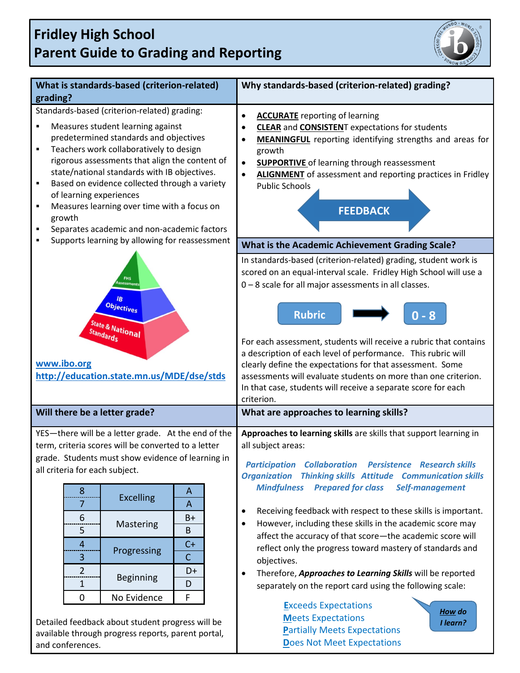## **Fridley High School Parent Guide to Grading and Reporting**



| What is standards-based (criterion-related)                                                                                                                                                                                                                                                                                                                                                                                                                                                                                                               | Why standards-based (criterion-related) grading?                                                                                                                                                                                                                                                                                                                                                                                                                                                                                                                           |  |
|-----------------------------------------------------------------------------------------------------------------------------------------------------------------------------------------------------------------------------------------------------------------------------------------------------------------------------------------------------------------------------------------------------------------------------------------------------------------------------------------------------------------------------------------------------------|----------------------------------------------------------------------------------------------------------------------------------------------------------------------------------------------------------------------------------------------------------------------------------------------------------------------------------------------------------------------------------------------------------------------------------------------------------------------------------------------------------------------------------------------------------------------------|--|
| grading?                                                                                                                                                                                                                                                                                                                                                                                                                                                                                                                                                  |                                                                                                                                                                                                                                                                                                                                                                                                                                                                                                                                                                            |  |
| Standards-based (criterion-related) grading:<br>Measures student learning against<br>٠<br>predetermined standards and objectives<br>Teachers work collaboratively to design<br>$\blacksquare$<br>rigorous assessments that align the content of<br>state/national standards with IB objectives.<br>Based on evidence collected through a variety<br>٠<br>of learning experiences<br>Measures learning over time with a focus on<br>٠<br>growth<br>Separates academic and non-academic factors<br>٠<br>Supports learning by allowing for reassessment<br>П | <b>ACCURATE</b> reporting of learning<br>$\bullet$<br><b>CLEAR</b> and <b>CONSISTEN</b> T expectations for students<br>$\bullet$<br><b>MEANINGFUL</b> reporting identifying strengths and areas for<br>growth<br><b>SUPPORTIVE</b> of learning through reassessment<br>$\bullet$<br><b>ALIGNMENT</b> of assessment and reporting practices in Fridley<br>$\bullet$<br><b>Public Schools</b><br><b>FEEDBACK</b>                                                                                                                                                             |  |
|                                                                                                                                                                                                                                                                                                                                                                                                                                                                                                                                                           | What is the Academic Achievement Grading Scale?                                                                                                                                                                                                                                                                                                                                                                                                                                                                                                                            |  |
| ssessment<br>IB<br><b>Objectives</b><br><b>State &amp; National</b><br>Standards<br>www.ibo.org<br>http://education.state.mn.us/MDE/dse/stds                                                                                                                                                                                                                                                                                                                                                                                                              | In standards-based (criterion-related) grading, student work is<br>scored on an equal-interval scale. Fridley High School will use a<br>0-8 scale for all major assessments in all classes.<br><b>Rubric</b><br>$0 - 8$<br>For each assessment, students will receive a rubric that contains<br>a description of each level of performance. This rubric will<br>clearly define the expectations for that assessment. Some<br>assessments will evaluate students on more than one criterion.<br>In that case, students will receive a separate score for each<br>criterion. |  |
| Will there be a letter grade?                                                                                                                                                                                                                                                                                                                                                                                                                                                                                                                             | What are approaches to learning skills?                                                                                                                                                                                                                                                                                                                                                                                                                                                                                                                                    |  |
| YES-there will be a letter grade. At the end of the<br>term, criteria scores will be converted to a letter<br>grade. Students must show evidence of learning in<br>all criteria for each subject.                                                                                                                                                                                                                                                                                                                                                         | Approaches to learning skills are skills that support learning in<br>all subject areas:<br><b>Participation Collaboration Persistence Research skills</b><br><b>Organization Thinking skills Attitude Communication skills</b><br><b>Mindfulness</b><br><b>Prepared for class</b><br>Self-management<br>Receiving feedback with respect to these skills is important.<br>$\bullet$<br>However, including these skills in the academic score may<br>$\bullet$<br>affect the accuracy of that score-the academic score will                                                  |  |
| $\boldsymbol{8}$<br>A<br><b>Excelling</b><br>$\overline{A}$<br>7<br>$B+$<br>6                                                                                                                                                                                                                                                                                                                                                                                                                                                                             |                                                                                                                                                                                                                                                                                                                                                                                                                                                                                                                                                                            |  |
| Mastering<br>5<br>В<br>$C+$<br>$\overline{a}$                                                                                                                                                                                                                                                                                                                                                                                                                                                                                                             |                                                                                                                                                                                                                                                                                                                                                                                                                                                                                                                                                                            |  |
| Progressing<br>Ċ<br>3                                                                                                                                                                                                                                                                                                                                                                                                                                                                                                                                     | reflect only the progress toward mastery of standards and<br>objectives.                                                                                                                                                                                                                                                                                                                                                                                                                                                                                                   |  |
| $\overline{2}$<br>D+<br><b>Beginning</b><br>$\mathbf 1$<br>D                                                                                                                                                                                                                                                                                                                                                                                                                                                                                              | Therefore, Approaches to Learning Skills will be reported<br>$\bullet$<br>separately on the report card using the following scale:                                                                                                                                                                                                                                                                                                                                                                                                                                         |  |
| No Evidence<br>F<br>$\mathbf 0$                                                                                                                                                                                                                                                                                                                                                                                                                                                                                                                           |                                                                                                                                                                                                                                                                                                                                                                                                                                                                                                                                                                            |  |
| Detailed feedback about student progress will be<br>available through progress reports, parent portal,<br>and conferences.                                                                                                                                                                                                                                                                                                                                                                                                                                | <b>Exceeds Expectations</b><br>How do<br><b>Meets Expectations</b><br>I learn?<br><b>Partially Meets Expectations</b><br><b>Does Not Meet Expectations</b>                                                                                                                                                                                                                                                                                                                                                                                                                 |  |